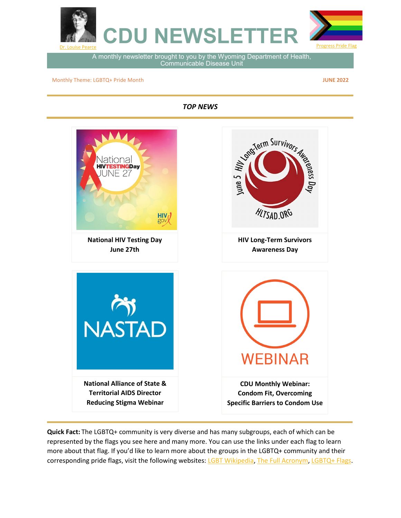

A monthly newsletter brought to you by the Wyoming Department of Health, Communicable Disease Unit

Monthly Theme: LGBTQ+ Pride Month

**JUNE 2022**

*TOP NEWS*



**Quick Fact:** The LGBTQ+ community is very diverse and has many subgroups, each of which can be represented by the flags you see here and many more. You can use the links under each flag to learn more about that flag. If you'd like to learn more about the groups in the LGBTQ+ community and their corresponding pride flags, visit the following websites: [LGBT Wikipedia,](https://en.wikipedia.org/wiki/LGBT) [The Full Acronym,](https://www.goodrx.com/health-topic/lgbtq/meaning-of-lgbtqia) [LGBTQ+ Flags.](https://www.rd.com/list/lgbtq-flags/)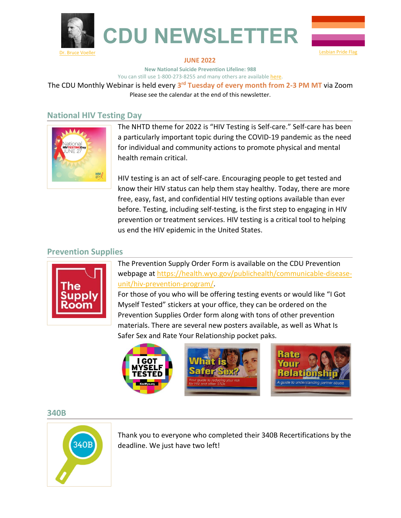



#### **JUNE 2022**

**New National Suicide Prevention Lifeline: 988** You can still use 1-800-273-8255 and many others are available [here.](https://www.apa.org/topics/crisis-hotlines)

The CDU Monthly Webinar is held every **3rd Tuesday of every month from 2-3 PM MT** via Zoom Please see the calendar at the end of this newsletter.

#### **National HIV Testing Day**



The NHTD theme for 2022 is "HIV Testing is Self-care." Self-care has been a particularly important topic during the COVID-19 pandemic as the need for individual and community actions to promote physical and mental health remain critical.

HIV testing is an act of self-care. Encouraging people to get tested and know their HIV status can help them stay healthy. Today, there are more free, easy, fast, and confidential HIV testing options available than ever before. Testing, including self-testing, is the first step to engaging in HIV prevention or treatment services. HIV testing is a critical tool to helping us end the HIV epidemic in the United States.

#### **Prevention Supplies**



The Prevention Supply Order Form is available on the CDU Prevention webpage a[t https://health.wyo.gov/publichealth/communicable-disease](https://health.wyo.gov/publichealth/communicable-disease-unit/hiv-prevention-program/)[unit/hiv-prevention-program/.](https://health.wyo.gov/publichealth/communicable-disease-unit/hiv-prevention-program/)

For those of you who will be offering testing events or would like "I Got Myself Tested" stickers at your office, they can be ordered on the Prevention Supplies Order form along with tons of other prevention materials. There are several new posters available, as well as What Is Safer Sex and Rate Your Relationship pocket paks.



#### **340B**



Thank you to everyone who completed their 340B Recertifications by the deadline. We just have two left!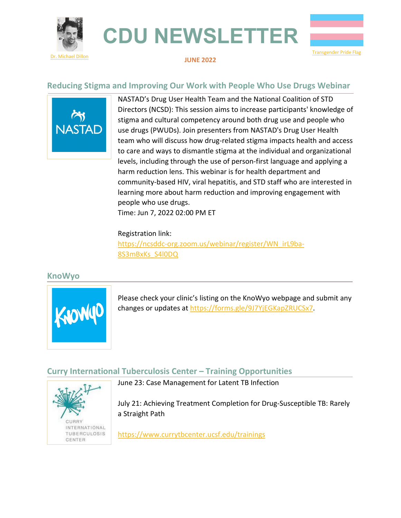





#### **JUNE 2022**

#### **Reducing Stigma and Improving Our Work with People Who Use Drugs Webinar**



NASTAD's Drug User Health Team and the National Coalition of STD Directors (NCSD): This session aims to increase participants' knowledge of stigma and cultural competency around both drug use and people who use drugs (PWUDs). Join presenters from NASTAD's Drug User Health team who will discuss how drug-related stigma impacts health and access to care and ways to dismantle stigma at the individual and organizational levels, including through the use of person-first language and applying a harm reduction lens. This webinar is for health department and community-based HIV, viral hepatitis, and STD staff who are interested in learning more about harm reduction and improving engagement with people who use drugs.

Time: Jun 7, 2022 02:00 PM ET

#### Registration link:

[https://ncsddc-org.zoom.us/webinar/register/WN\\_irL9ba-](https://ncsddc-org.zoom.us/webinar/register/WN_irL9ba-8S3mBxKs_S4l0DQ)[8S3mBxKs\\_S4l0DQ](https://ncsddc-org.zoom.us/webinar/register/WN_irL9ba-8S3mBxKs_S4l0DQ)

#### **KnoWyo**



Please check your clinic's listing on the KnoWyo webpage and submit any changes or updates at [https://forms.gle/9J7YjEGKapZRUCSx7.](https://forms.gle/9J7YjEGKapZRUCSx7)

#### **Curry International Tuberculosis Center – Training Opportunities**



June 23: Case Management for Latent TB Infection

July 21: Achieving Treatment Completion for Drug-Susceptible TB: Rarely a Straight Path

<https://www.currytbcenter.ucsf.edu/trainings>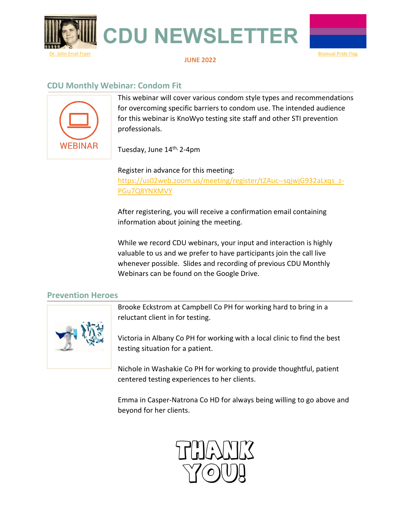

#### **JUNE 2022**

#### **CDU Monthly Webinar: Condom Fit**



This webinar will cover various condom style types and recommendations for overcoming specific barriers to condom use. The intended audience for this webinar is KnoWyo testing site staff and other STI prevention professionals.

Tuesday, June 14th, 2-4pm

Register in advance for this meeting: [https://us02web.zoom.us/meeting/register/tZAuc--sqjwjG932aLxqs\\_z-](https://us02web.zoom.us/meeting/register/tZAuc--sqjwjG932aLxqs_z-PGu7Q8YNXMVY)[PGu7Q8YNXMVY](https://us02web.zoom.us/meeting/register/tZAuc--sqjwjG932aLxqs_z-PGu7Q8YNXMVY) 

After registering, you will receive a confirmation email containing information about joining the meeting.

While we record CDU webinars, your input and interaction is highly valuable to us and we prefer to have participants join the call live whenever possible. Slides and recording of previous CDU Monthly Webinars can be found on the Google Drive.

#### **Prevention Heroes**



Brooke Eckstrom at Campbell Co PH for working hard to bring in a reluctant client in for testing.

Victoria in Albany Co PH for working with a local clinic to find the best testing situation for a patient.

Nichole in Washakie Co PH for working to provide thoughtful, patient centered testing experiences to her clients.

Emma in Casper-Natrona Co HD for always being willing to go above and beyond for her clients.

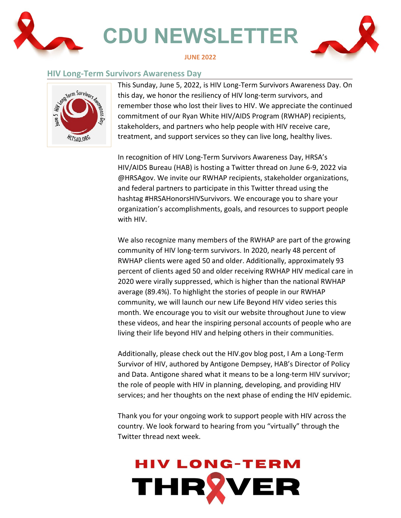

#### **HIV Long-Term Survivors Awareness Day**



This Sunday, June 5, 2022, is HIV Long-Term Survivors Awareness Day. On this day, we honor the resiliency of HIV long-term survivors, and remember those who lost their lives to HIV. We appreciate the continued commitment of our Ryan White HIV/AIDS Program (RWHAP) recipients, stakeholders, and partners who help people with HIV receive care, treatment, and support services so they can live long, healthy lives.

In recognition of HIV Long-Term Survivors Awareness Day, HRSA's HIV/AIDS Bureau (HAB) is hosting a Twitter thread on June 6-9, 2022 via @HRSAgov. We invite our RWHAP recipients, stakeholder organizations, and federal partners to participate in this Twitter thread using the hashtag #HRSAHonorsHIVSurvivors. We encourage you to share your organization's accomplishments, goals, and resources to support people with HIV.

We also recognize many members of the RWHAP are part of the growing community of HIV long-term survivors. In 2020, nearly 48 percent of RWHAP clients were aged 50 and older. Additionally, approximately 93 percent of clients aged 50 and older receiving RWHAP HIV medical care in 2020 were virally suppressed, which is higher than the national RWHAP average (89.4%). To highlight the stories of people in our RWHAP community, we will launch our new Life Beyond HIV video series this month. We encourage you to visit our website throughout June to view these videos, and hear the inspiring personal accounts of people who are living their life beyond HIV and helping others in their communities.

Additionally, please check out the HIV.gov blog post, I Am a Long-Term Survivor of HIV, authored by Antigone Dempsey, HAB's Director of Policy and Data. Antigone shared what it means to be a long-term HIV survivor; the role of people with HIV in planning, developing, and providing HIV services; and her thoughts on the next phase of ending the HIV epidemic.

Thank you for your ongoing work to support people with HIV across the country. We look forward to hearing from you "virtually" through the Twitter thread next week.